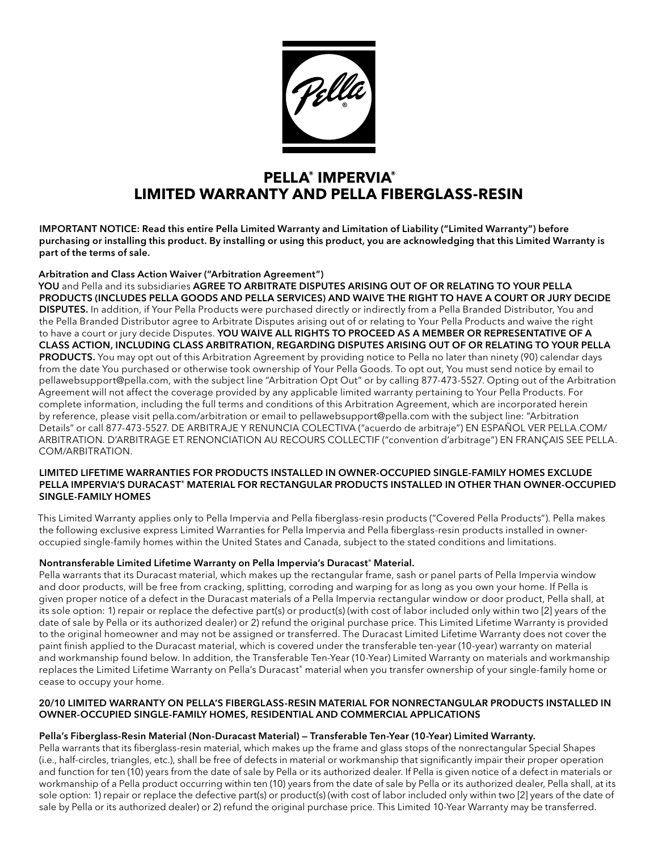

# **PELLA® IMPERVIA® LIMITED WARRANTY AND PELLA FIBERGLASS-RESIN**

IMPORTANT NOTICE: Read this entire Pella Limited Warranty and Limitation of Liability ("Limited Warranty") before purchasing or installing this product. By installing or using this product, you are acknowledging that this Limited Warranty is part of the terms of sale.

## Arbitration and Class Action Waiver ("Arbitration Agreement")

YOU and Pella and its subsidiaries AGREE TO ARBITRATE DISPUTES ARISING OUT OF OR RELATING TO YOUR PELLA PRODUCTS (INCLUDES PELLA GOODS AND PELLA SERVICES) AND WAIVE THE RIGHT TO HAVE A COURT OR JURY DECIDE DISPUTES. In addition, if Your Pella Products were purchased directly or indirectly from a Pella Branded Distributor, You and the Pella Branded Distributor agree to Arbitrate Disputes arising out of or relating to Your Pella Products and waive the right to have a court or jury decide Disputes. YOU WAIVE ALL RIGHTS TO PROCEED AS A MEMBER OR REPRESENTATIVE OF A CLASS ACTION, INCLUDING CLASS ARBITRATION, REGARDING DISPUTES ARISING OUT OF OR RELATING TO YOUR PELLA PRODUCTS. You may opt out of this Arbitration Agreement by providing notice to Pella no later than ninety (90) calendar days from the date You purchased or otherwise took ownership of Your Pella Goods. To opt out, You must send notice by email to pellawebsupport@pella.com, with the subject line "Arbitration Opt Out" or by calling 877-473-5527. Opting out of the Arbitration Agreement will not affect the coverage provided by any applicable limited warranty pertaining to Your Pella Products. For complete information, including the full terms and conditions of this Arbitration Agreement, which are incorporated herein by reference, please visit pella.com/arbitration or email to pellawebsupport@pella.com with the subject line: "Arbitration Details" or call 877-473-5527. DE ARBITRAJE Y RENUNCIA COLECTIVA ("acuerdo de arbitraje") EN ESPAÑOL VER PELLA.COM/ ARBITRATION. D'ARBITRAGE ET RENONCIATION AU RECOURS COLLECTIF ("convention d'arbitrage") EN FRANÇAIS SEE PELLA. COM/ARBITRATION.

#### LIMITED LIFETIME WARRANTIES FOR PRODUCTS INSTALLED IN OWNER-OCCUPIED SINGLE-FAMILY HOMES EXCLUDE PELLA IMPERVIA'S DURACAST® MATERIAL FOR RECTANGULAR PRODUCTS INSTALLED IN OTHER THAN OWNER-OCCUPIED SINGLE-FAMILY HOMES

This Limited Warranty applies only to Pella Impervia and Pella fiberglass-resin products ("Covered Pella Products"). Pella makes the following exclusive express Limited Warranties for Pella Impervia and Pella fiberglass-resin products installed in owneroccupied single-family homes within the United States and Canada, subject to the stated conditions and limitations.

## Nontransferable Limited Lifetime Warranty on Pella Impervia's Duracast® Material.

Pella warrants that its Duracast material, which makes up the rectangular frame, sash or panel parts of Pella Impervia window and door products, will be free from cracking, splitting, corroding and warping for as long as you own your home. If Pella is given proper notice of a defect in the Duracast materials of a Pella Impervia rectangular window or door product, Pella shall, at its sole option: 1) repair or replace the defective part(s) or product(s) (with cost of labor included only within two [2] years of the date of sale by Pella or its authorized dealer) or 2) refund the original purchase price. This Limited Lifetime Warranty is provided to the original homeowner and may not be assigned or transferred. The Duracast Limited Lifetime Warranty does not cover the paint finish applied to the Duracast material, which is covered under the transferable ten-year (10-year) warranty on material and workmanship found below. In addition, the Transferable Ten-Year (10-Year) Limited Warranty on materials and workmanship replaces the Limited Lifetime Warranty on Pella's Duracast® material when you transfer ownership of your single-family home or cease to occupy your home.

## 20/10 LIMITED WARRANTY ON PELLA'S FIBERGLASS-RESIN MATERIAL FOR NONRECTANGULAR PRODUCTS INSTALLED IN OWNER-OCCUPIED SINGLE-FAMILY HOMES, RESIDENTIAL AND COMMERCIAL APPLICATIONS

## Pella's Fiberglass-Resin Material (Non-Duracast Material) — Transferable Ten-Year (10-Year) Limited Warranty.

Pella warrants that its fiberglass-resin material, which makes up the frame and glass stops of the nonrectangular Special Shapes (i.e., half-circles, triangles, etc.), shall be free of defects in material or workmanship that significantly impair their proper operation and function for ten (10) years from the date of sale by Pella or its authorized dealer. If Pella is given notice of a defect in materials or workmanship of a Pella product occurring within ten (10) years from the date of sale by Pella or its authorized dealer, Pella shall, at its sole option: 1) repair or replace the defective part(s) or product(s) (with cost of labor included only within two [2] years of the date of sale by Pella or its authorized dealer) or 2) refund the original purchase price. This Limited 10-Year Warranty may be transferred.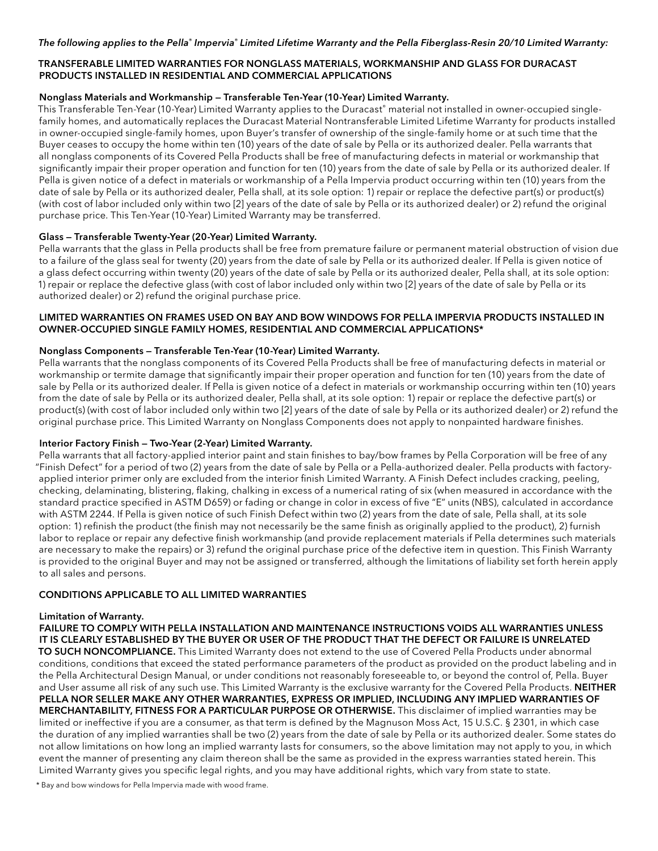## TRANSFERABLE LIMITED WARRANTIES FOR NONGLASS MATERIALS, WORKMANSHIP AND GLASS FOR DURACAST PRODUCTS INSTALLED IN RESIDENTIAL AND COMMERCIAL APPLICATIONS

## Nonglass Materials and Workmanship — Transferable Ten-Year (10-Year) Limited Warranty.

This Transferable Ten-Year (10-Year) Limited Warranty applies to the Duracast® material not installed in owner-occupied singlefamily homes, and automatically replaces the Duracast Material Nontransferable Limited Lifetime Warranty for products installed in owner-occupied single-family homes, upon Buyer's transfer of ownership of the single-family home or at such time that the Buyer ceases to occupy the home within ten (10) years of the date of sale by Pella or its authorized dealer. Pella warrants that all nonglass components of its Covered Pella Products shall be free of manufacturing defects in material or workmanship that significantly impair their proper operation and function for ten (10) years from the date of sale by Pella or its authorized dealer. If Pella is given notice of a defect in materials or workmanship of a Pella Impervia product occurring within ten (10) years from the date of sale by Pella or its authorized dealer, Pella shall, at its sole option: 1) repair or replace the defective part(s) or product(s) (with cost of labor included only within two [2] years of the date of sale by Pella or its authorized dealer) or 2) refund the original purchase price. This Ten-Year (10-Year) Limited Warranty may be transferred.

## Glass — Transferable Twenty-Year (20-Year) Limited Warranty.

Pella warrants that the glass in Pella products shall be free from premature failure or permanent material obstruction of vision due to a failure of the glass seal for twenty (20) years from the date of sale by Pella or its authorized dealer. If Pella is given notice of a glass defect occurring within twenty (20) years of the date of sale by Pella or its authorized dealer, Pella shall, at its sole option: 1) repair or replace the defective glass (with cost of labor included only within two [2] years of the date of sale by Pella or its authorized dealer) or 2) refund the original purchase price.

## LIMITED WARRANTIES ON FRAMES USED ON BAY AND BOW WINDOWS FOR PELLA IMPERVIA PRODUCTS INSTALLED IN OWNER-OCCUPIED SINGLE FAMILY HOMES, RESIDENTIAL AND COMMERCIAL APPLICATIONS\*

## Nonglass Components — Transferable Ten-Year (10-Year) Limited Warranty.

Pella warrants that the nonglass components of its Covered Pella Products shall be free of manufacturing defects in material or workmanship or termite damage that significantly impair their proper operation and function for ten (10) years from the date of sale by Pella or its authorized dealer. If Pella is given notice of a defect in materials or workmanship occurring within ten (10) years from the date of sale by Pella or its authorized dealer, Pella shall, at its sole option: 1) repair or replace the defective part(s) or product(s) (with cost of labor included only within two [2] years of the date of sale by Pella or its authorized dealer) or 2) refund the original purchase price. This Limited Warranty on Nonglass Components does not apply to nonpainted hardware finishes.

## Interior Factory Finish — Two-Year (2-Year) Limited Warranty.

Pella warrants that all factory-applied interior paint and stain finishes to bay/bow frames by Pella Corporation will be free of any "Finish Defect" for a period of two (2) years from the date of sale by Pella or a Pella-authorized dealer. Pella products with factoryapplied interior primer only are excluded from the interior finish Limited Warranty. A Finish Defect includes cracking, peeling, checking, delaminating, blistering, flaking, chalking in excess of a numerical rating of six (when measured in accordance with the standard practice specified in ASTM D659) or fading or change in color in excess of five "E" units (NBS), calculated in accordance with ASTM 2244. If Pella is given notice of such Finish Defect within two (2) years from the date of sale, Pella shall, at its sole option: 1) refinish the product (the finish may not necessarily be the same finish as originally applied to the product), 2) furnish labor to replace or repair any defective finish workmanship (and provide replacement materials if Pella determines such materials are necessary to make the repairs) or 3) refund the original purchase price of the defective item in question. This Finish Warranty is provided to the original Buyer and may not be assigned or transferred, although the limitations of liability set forth herein apply to all sales and persons.

## CONDITIONS APPLICABLE TO ALL LIMITED WARRANTIES

## Limitation of Warranty.

FAILURE TO COMPLY WITH PELLA INSTALLATION AND MAINTENANCE INSTRUCTIONS VOIDS ALL WARRANTIES UNLESS IT IS CLEARLY ESTABLISHED BY THE BUYER OR USER OF THE PRODUCT THAT THE DEFECT OR FAILURE IS UNRELATED TO SUCH NONCOMPLIANCE. This Limited Warranty does not extend to the use of Covered Pella Products under abnormal conditions, conditions that exceed the stated performance parameters of the product as provided on the product labeling and in the Pella Architectural Design Manual, or under conditions not reasonably foreseeable to, or beyond the control of, Pella. Buyer and User assume all risk of any such use. This Limited Warranty is the exclusive warranty for the Covered Pella Products. NEITHER PELLA NOR SELLER MAKE ANY OTHER WARRANTIES, EXPRESS OR IMPLIED, INCLUDING ANY IMPLIED WARRANTIES OF MERCHANTABILITY, FITNESS FOR A PARTICULAR PURPOSE OR OTHERWISE. This disclaimer of implied warranties may be limited or ineffective if you are a consumer, as that term is defined by the Magnuson Moss Act, 15 U.S.C. § 2301, in which case the duration of any implied warranties shall be two (2) years from the date of sale by Pella or its authorized dealer. Some states do not allow limitations on how long an implied warranty lasts for consumers, so the above limitation may not apply to you, in which event the manner of presenting any claim thereon shall be the same as provided in the express warranties stated herein. This Limited Warranty gives you specific legal rights, and you may have additional rights, which vary from state to state.

\* Bay and bow windows for Pella Impervia made with wood frame.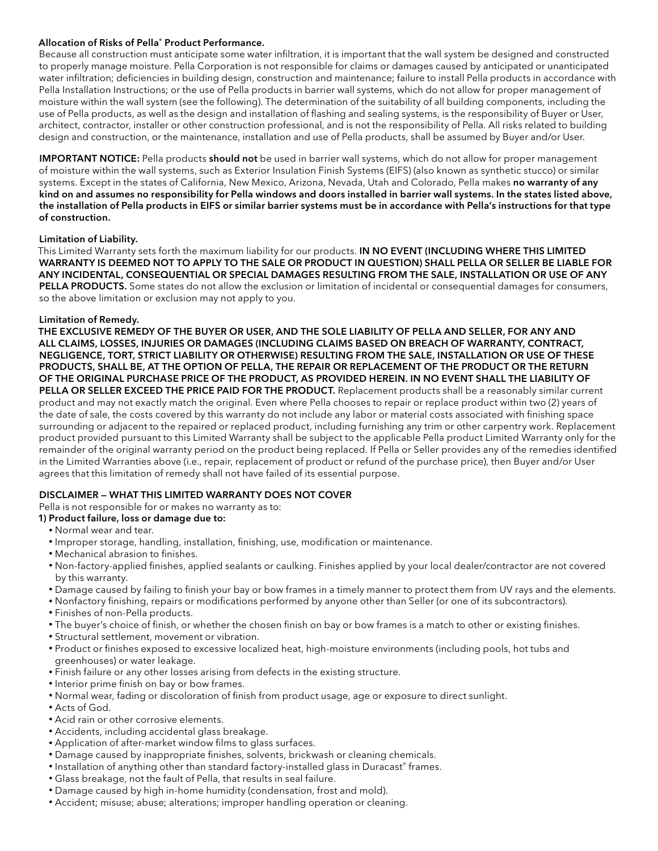### Allocation of Risks of Pella® Product Performance.

Because all construction must anticipate some water infiltration, it is important that the wall system be designed and constructed to properly manage moisture. Pella Corporation is not responsible for claims or damages caused by anticipated or unanticipated water infiltration; deficiencies in building design, construction and maintenance; failure to install Pella products in accordance with Pella Installation Instructions; or the use of Pella products in barrier wall systems, which do not allow for proper management of moisture within the wall system (see the following). The determination of the suitability of all building components, including the use of Pella products, as well as the design and installation of flashing and sealing systems, is the responsibility of Buyer or User, architect, contractor, installer or other construction professional, and is not the responsibility of Pella. All risks related to building design and construction, or the maintenance, installation and use of Pella products, shall be assumed by Buyer and/or User.

IMPORTANT NOTICE: Pella products should not be used in barrier wall systems, which do not allow for proper management of moisture within the wall systems, such as Exterior Insulation Finish Systems (EIFS) (also known as synthetic stucco) or similar systems. Except in the states of California, New Mexico, Arizona, Nevada, Utah and Colorado, Pella makes no warranty of any kind on and assumes no responsibility for Pella windows and doors installed in barrier wall systems. In the states listed above, the installation of Pella products in EIFS or similar barrier systems must be in accordance with Pella's instructions for that type of construction.

#### Limitation of Liability.

This Limited Warranty sets forth the maximum liability for our products. IN NO EVENT (INCLUDING WHERE THIS LIMITED WARRANTY IS DEEMED NOT TO APPLY TO THE SALE OR PRODUCT IN QUESTION) SHALL PELLA OR SELLER BE LIABLE FOR ANY INCIDENTAL, CONSEQUENTIAL OR SPECIAL DAMAGES RESULTING FROM THE SALE, INSTALLATION OR USE OF ANY PELLA PRODUCTS. Some states do not allow the exclusion or limitation of incidental or consequential damages for consumers, so the above limitation or exclusion may not apply to you.

#### Limitation of Remedy.

THE EXCLUSIVE REMEDY OF THE BUYER OR USER, AND THE SOLE LIABILITY OF PELLA AND SELLER, FOR ANY AND ALL CLAIMS, LOSSES, INJURIES OR DAMAGES (INCLUDING CLAIMS BASED ON BREACH OF WARRANTY, CONTRACT, NEGLIGENCE, TORT, STRICT LIABILITY OR OTHERWISE) RESULTING FROM THE SALE, INSTALLATION OR USE OF THESE PRODUCTS, SHALL BE, AT THE OPTION OF PELLA, THE REPAIR OR REPLACEMENT OF THE PRODUCT OR THE RETURN OF THE ORIGINAL PURCHASE PRICE OF THE PRODUCT, AS PROVIDED HEREIN. IN NO EVENT SHALL THE LIABILITY OF PELLA OR SELLER EXCEED THE PRICE PAID FOR THE PRODUCT. Replacement products shall be a reasonably similar current product and may not exactly match the original. Even where Pella chooses to repair or replace product within two (2) years of the date of sale, the costs covered by this warranty do not include any labor or material costs associated with finishing space surrounding or adjacent to the repaired or replaced product, including furnishing any trim or other carpentry work. Replacement product provided pursuant to this Limited Warranty shall be subject to the applicable Pella product Limited Warranty only for the remainder of the original warranty period on the product being replaced. If Pella or Seller provides any of the remedies identified in the Limited Warranties above (i.e., repair, replacement of product or refund of the purchase price), then Buyer and/or User agrees that this limitation of remedy shall not have failed of its essential purpose.

## DISCLAIMER — WHAT THIS LIMITED WARRANTY DOES NOT COVER

Pella is not responsible for or makes no warranty as to:

#### 1) Product failure, loss or damage due to:

- Normal wear and tear.
- Improper storage, handling, installation, finishing, use, modification or maintenance.
- Mechanical abrasion to finishes.
- Non-factory-applied finishes, applied sealants or caulking. Finishes applied by your local dealer/contractor are not covered by this warranty.
- Damage caused by failing to finish your bay or bow frames in a timely manner to protect them from UV rays and the elements.
- Nonfactory finishing, repairs or modifications performed by anyone other than Seller (or one of its subcontractors).
- Finishes of non-Pella products.
- The buyer's choice of finish, or whether the chosen finish on bay or bow frames is a match to other or existing finishes.
- Structural settlement, movement or vibration.
- Product or finishes exposed to excessive localized heat, high-moisture environments (including pools, hot tubs and greenhouses) or water leakage.
- Finish failure or any other losses arising from defects in the existing structure.
- Interior prime finish on bay or bow frames.
- Normal wear, fading or discoloration of finish from product usage, age or exposure to direct sunlight.
- Acts of God.
- Acid rain or other corrosive elements.
- Accidents, including accidental glass breakage.
- Application of after-market window films to glass surfaces.
- Damage caused by inappropriate finishes, solvents, brickwash or cleaning chemicals.
- Installation of anything other than standard factory-installed glass in Duracast® frames.
- Glass breakage, not the fault of Pella, that results in seal failure.
- Damage caused by high in-home humidity (condensation, frost and mold).
- Accident; misuse; abuse; alterations; improper handling operation or cleaning.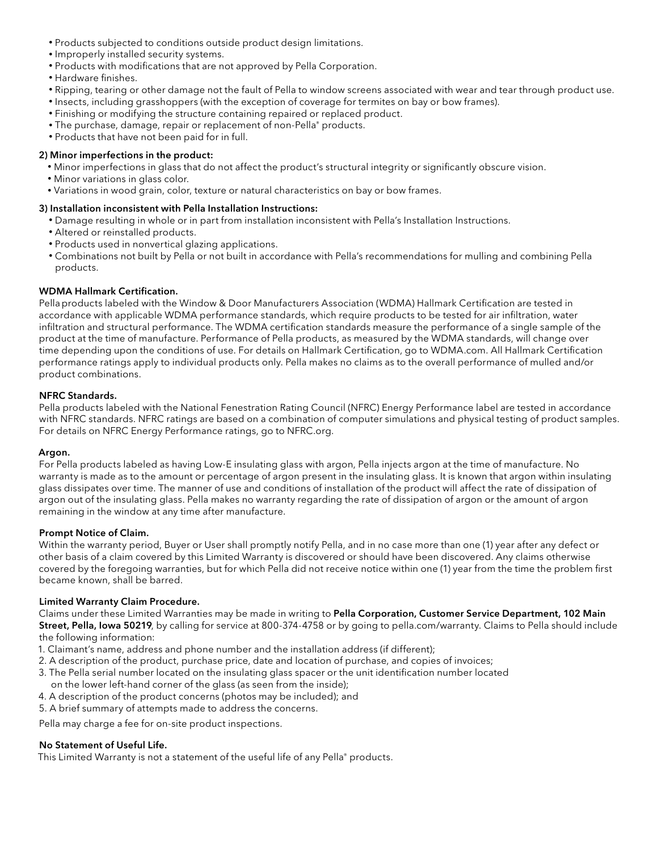- Products subjected to conditions outside product design limitations.
- Improperly installed security systems.
- Products with modifications that are not approved by Pella Corporation.
- Hardware finishes.
- Ripping, tearing or other damage not the fault of Pella to window screens associated with wear and tear through product use.
- Insects, including grasshoppers (with the exception of coverage for termites on bay or bow frames).
- Finishing or modifying the structure containing repaired or replaced product.
- The purchase, damage, repair or replacement of non-Pella® products.
- Products that have not been paid for in full.

#### 2) Minor imperfections in the product:

- Minor imperfections in glass that do not affect the product's structural integrity or significantly obscure vision.
- Minor variations in glass color.
- Variations in wood grain, color, texture or natural characteristics on bay or bow frames.

## 3) Installation inconsistent with Pella Installation Instructions:

- Damage resulting in whole or in part from installation inconsistent with Pella's Installation Instructions.
- Altered or reinstalled products.
- Products used in nonvertical glazing applications.
- Combinations not built by Pella or not built in accordance with Pella's recommendations for mulling and combining Pella products.

## WDMA Hallmark Certification.

Pellaproducts labeled with the Window & Door Manufacturers Association (WDMA) Hallmark Certification are tested in accordance with applicable WDMA performance standards, which require products to be tested for air infiltration, water infiltration and structural performance. The WDMA certification standards measure the performance of a single sample of the product at the time of manufacture. Performance of Pella products, as measured by the WDMA standards, will change over time depending upon the conditions of use. For details on Hallmark Certification, go to WDMA.com. All Hallmark Certification performance ratings apply to individual products only. Pella makes no claims as to the overall performance of mulled and/or product combinations.

### NFRC Standards.

Pella products labeled with the National Fenestration Rating Council (NFRC) Energy Performance label are tested in accordance with NFRC standards. NFRC ratings are based on a combination of computer simulations and physical testing of product samples. For details on NFRC Energy Performance ratings, go to NFRC.org.

#### Argon.

For Pella products labeled as having Low-E insulating glass with argon, Pella injects argon at the time of manufacture. No warranty is made as to the amount or percentage of argon present in the insulating glass. It is known that argon within insulating glass dissipates over time. The manner of use and conditions of installation of the product will affect the rate of dissipation of argon out of the insulating glass. Pella makes no warranty regarding the rate of dissipation of argon or the amount of argon remaining in the window at any time after manufacture.

#### Prompt Notice of Claim.

Within the warranty period, Buyer or User shall promptly notify Pella, and in no case more than one (1) year after any defect or other basis of a claim covered by this Limited Warranty is discovered or should have been discovered. Any claims otherwise covered by the foregoing warranties, but for which Pella did not receive notice within one (1) year from the time the problem first became known, shall be barred.

#### Limited Warranty Claim Procedure.

Claims under these Limited Warranties may be made in writing to Pella Corporation, Customer Service Department, 102 Main Street, Pella, Iowa 50219, by calling for service at 800-374-4758 or by going to pella.com/warranty. Claims to Pella should include the following information:

- 1. Claimant's name, address and phone number and the installation address (if different);
- 2. A description of the product, purchase price, date and location of purchase, and copies of invoices;
- 3. The Pella serial number located on the insulating glass spacer or the unit identification number located
- on the lower left-hand corner of the glass (as seen from the inside);
- 4. A description of the product concerns (photos may be included); and
- 5. A brief summary of attempts made to address the concerns.

Pella may charge a fee for on-site product inspections.

## No Statement of Useful Life.

This Limited Warranty is not a statement of the useful life of any Pella® products.